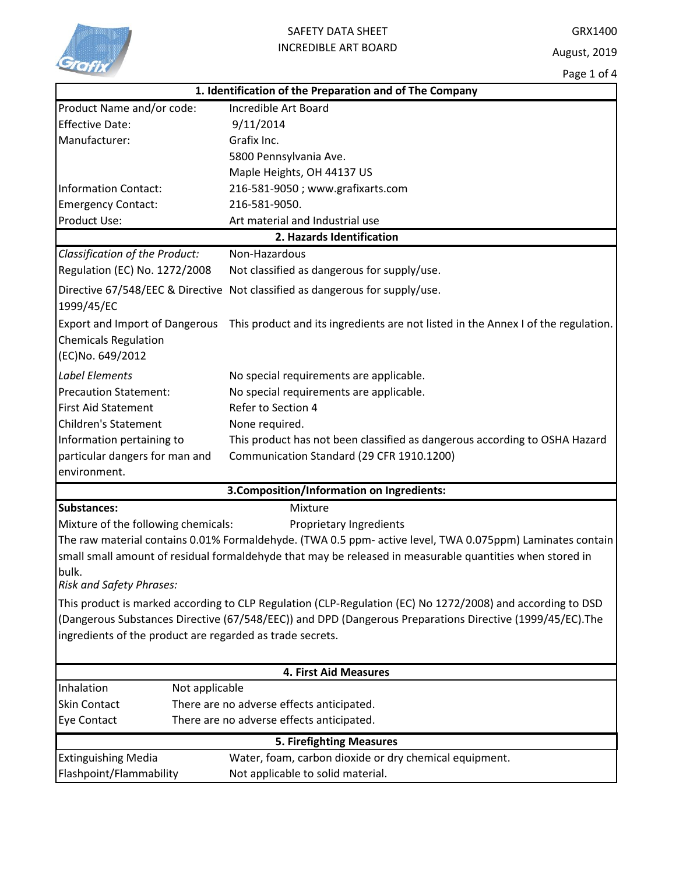

| 1. Identification of the Preparation and of The Company                                  |                                                                                                            |  |  |  |
|------------------------------------------------------------------------------------------|------------------------------------------------------------------------------------------------------------|--|--|--|
| Product Name and/or code:                                                                | Incredible Art Board                                                                                       |  |  |  |
| <b>Effective Date:</b>                                                                   | 9/11/2014                                                                                                  |  |  |  |
| Manufacturer:                                                                            | Grafix Inc.                                                                                                |  |  |  |
|                                                                                          | 5800 Pennsylvania Ave.                                                                                     |  |  |  |
|                                                                                          | Maple Heights, OH 44137 US                                                                                 |  |  |  |
| Information Contact:                                                                     | 216-581-9050; www.grafixarts.com                                                                           |  |  |  |
| <b>Emergency Contact:</b>                                                                | 216-581-9050.                                                                                              |  |  |  |
| <b>Product Use:</b>                                                                      | Art material and Industrial use                                                                            |  |  |  |
| 2. Hazards Identification                                                                |                                                                                                            |  |  |  |
| Classification of the Product:                                                           | Non-Hazardous                                                                                              |  |  |  |
| Regulation (EC) No. 1272/2008                                                            | Not classified as dangerous for supply/use.                                                                |  |  |  |
| 1999/45/EC                                                                               | Directive 67/548/EEC & Directive Not classified as dangerous for supply/use.                               |  |  |  |
| <b>Export and Import of Dangerous</b><br><b>Chemicals Regulation</b><br>(EC)No. 649/2012 | This product and its ingredients are not listed in the Annex I of the regulation.                          |  |  |  |
| <b>Label Elements</b>                                                                    | No special requirements are applicable.                                                                    |  |  |  |
| <b>Precaution Statement:</b>                                                             | No special requirements are applicable.                                                                    |  |  |  |
| <b>First Aid Statement</b>                                                               | Refer to Section 4                                                                                         |  |  |  |
| <b>Children's Statement</b>                                                              | None required.                                                                                             |  |  |  |
| Information pertaining to                                                                | This product has not been classified as dangerous according to OSHA Hazard                                 |  |  |  |
| particular dangers for man and                                                           | Communication Standard (29 CFR 1910.1200)                                                                  |  |  |  |
| environment.                                                                             |                                                                                                            |  |  |  |
|                                                                                          | 3. Composition/Information on Ingredients:                                                                 |  |  |  |
| <b>Substances:</b>                                                                       | Mixture                                                                                                    |  |  |  |
| Mixture of the following chemicals:                                                      | Proprietary Ingredients                                                                                    |  |  |  |
|                                                                                          | The raw material contains 0.01% Formaldehyde. (TWA 0.5 ppm- active level, TWA 0.075ppm) Laminates contain  |  |  |  |
|                                                                                          | small small amount of residual formaldehyde that may be released in measurable quantities when stored in   |  |  |  |
| bulk.                                                                                    |                                                                                                            |  |  |  |
| <b>Risk and Safety Phrases:</b>                                                          |                                                                                                            |  |  |  |
|                                                                                          | This product is marked according to CLP Regulation (CLP-Regulation (EC) No 1272/2008) and according to DSD |  |  |  |
|                                                                                          | (Dangerous Substances Directive (67/548/EEC)) and DPD (Dangerous Preparations Directive (1999/45/EC). The  |  |  |  |
| ingredients of the product are regarded as trade secrets.                                |                                                                                                            |  |  |  |
|                                                                                          |                                                                                                            |  |  |  |
| <b>4. First Aid Measures</b>                                                             |                                                                                                            |  |  |  |
| Inhalation<br>Not applicable                                                             |                                                                                                            |  |  |  |
| <b>Skin Contact</b>                                                                      | There are no adverse effects anticipated.                                                                  |  |  |  |
| Eye Contact                                                                              | There are no adverse effects anticipated.                                                                  |  |  |  |
| <b>5. Firefighting Measures</b>                                                          |                                                                                                            |  |  |  |
| <b>Extinguishing Media</b>                                                               | Water, foam, carbon dioxide or dry chemical equipment.                                                     |  |  |  |
| Flashpoint/Flammability                                                                  | Not applicable to solid material.                                                                          |  |  |  |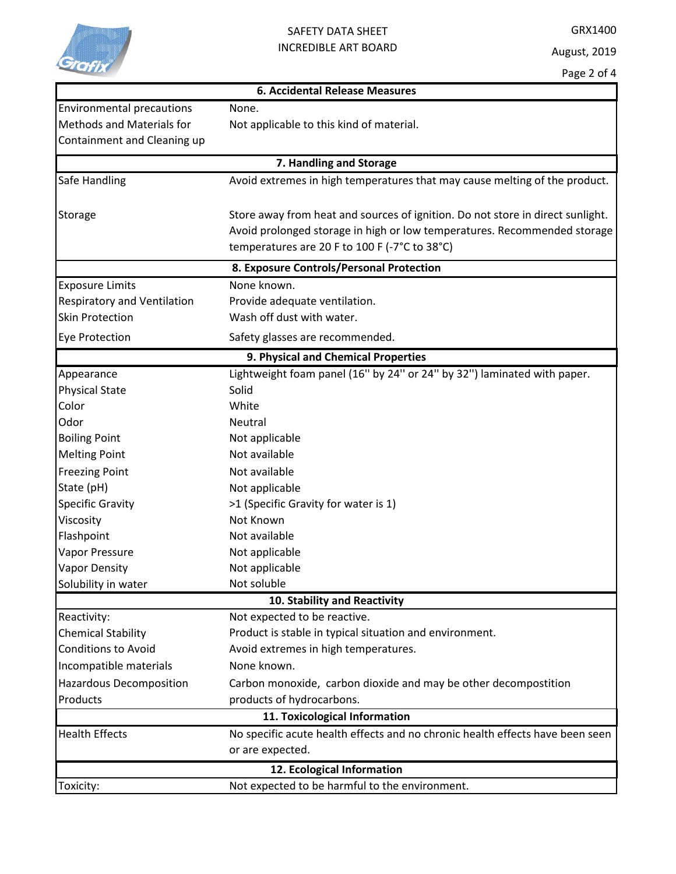

## SAFETY DATA SHEET INCREDIBLE ART BOARD

| <b>6. Accidental Release Measures</b> |                                                                                |  |  |  |
|---------------------------------------|--------------------------------------------------------------------------------|--|--|--|
| <b>Environmental precautions</b>      | None.                                                                          |  |  |  |
| <b>Methods and Materials for</b>      | Not applicable to this kind of material.                                       |  |  |  |
| Containment and Cleaning up           |                                                                                |  |  |  |
| 7. Handling and Storage               |                                                                                |  |  |  |
| Safe Handling                         | Avoid extremes in high temperatures that may cause melting of the product.     |  |  |  |
|                                       |                                                                                |  |  |  |
| <b>Storage</b>                        | Store away from heat and sources of ignition. Do not store in direct sunlight. |  |  |  |
|                                       | Avoid prolonged storage in high or low temperatures. Recommended storage       |  |  |  |
|                                       | temperatures are 20 F to 100 F (-7°C to 38°C)                                  |  |  |  |
|                                       | 8. Exposure Controls/Personal Protection                                       |  |  |  |
| <b>Exposure Limits</b>                | None known.                                                                    |  |  |  |
| Respiratory and Ventilation           | Provide adequate ventilation.                                                  |  |  |  |
| <b>Skin Protection</b>                | Wash off dust with water.                                                      |  |  |  |
| Eye Protection                        | Safety glasses are recommended.                                                |  |  |  |
| 9. Physical and Chemical Properties   |                                                                                |  |  |  |
| Appearance                            | Lightweight foam panel (16" by 24" or 24" by 32") laminated with paper.        |  |  |  |
| <b>Physical State</b>                 | Solid                                                                          |  |  |  |
| Color                                 | White                                                                          |  |  |  |
| Odor                                  | Neutral                                                                        |  |  |  |
| <b>Boiling Point</b>                  | Not applicable                                                                 |  |  |  |
| <b>Melting Point</b>                  | Not available                                                                  |  |  |  |
| <b>Freezing Point</b>                 | Not available                                                                  |  |  |  |
| State (pH)                            | Not applicable                                                                 |  |  |  |
| <b>Specific Gravity</b>               | >1 (Specific Gravity for water is 1)                                           |  |  |  |
| Viscosity                             | Not Known                                                                      |  |  |  |
| Flashpoint                            | Not available                                                                  |  |  |  |
| Vapor Pressure                        | Not applicable                                                                 |  |  |  |
| <b>Vapor Density</b>                  | Not applicable                                                                 |  |  |  |
| Solubility in water                   | Not soluble                                                                    |  |  |  |
|                                       | 10. Stability and Reactivity                                                   |  |  |  |
| Reactivity:                           | Not expected to be reactive.                                                   |  |  |  |
| <b>Chemical Stability</b>             | Product is stable in typical situation and environment.                        |  |  |  |
| <b>Conditions to Avoid</b>            | Avoid extremes in high temperatures.                                           |  |  |  |
| Incompatible materials                | None known.                                                                    |  |  |  |
| <b>Hazardous Decomposition</b>        | Carbon monoxide, carbon dioxide and may be other decompostition                |  |  |  |
| Products                              | products of hydrocarbons.                                                      |  |  |  |
|                                       | 11. Toxicological Information                                                  |  |  |  |
| <b>Health Effects</b>                 | No specific acute health effects and no chronic health effects have been seen  |  |  |  |
|                                       | or are expected.                                                               |  |  |  |
| 12. Ecological Information            |                                                                                |  |  |  |
| Toxicity:                             | Not expected to be harmful to the environment.                                 |  |  |  |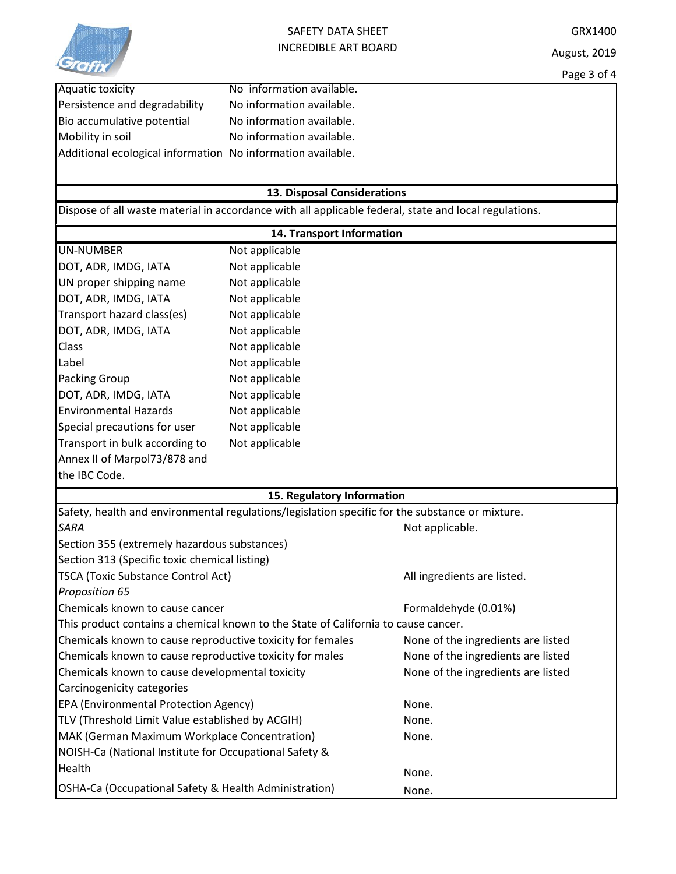

| Aquatic toxicity                                            | No information available. |
|-------------------------------------------------------------|---------------------------|
| Persistence and degradability                               | No information available. |
| Bio accumulative potential                                  | No information available. |
| Mobility in soil                                            | No information available. |
| Additional ecological information No information available. |                           |

## **13. Disposal Considerations**

Dispose of all waste material in accordance with all applicable federal, state and local regulations.

| 14. Transport Information                                                                       |                            |                                    |  |  |
|-------------------------------------------------------------------------------------------------|----------------------------|------------------------------------|--|--|
| <b>UN-NUMBER</b>                                                                                | Not applicable             |                                    |  |  |
| DOT, ADR, IMDG, IATA                                                                            | Not applicable             |                                    |  |  |
| UN proper shipping name                                                                         | Not applicable             |                                    |  |  |
| DOT, ADR, IMDG, IATA                                                                            | Not applicable             |                                    |  |  |
| Transport hazard class(es)                                                                      | Not applicable             |                                    |  |  |
| DOT, ADR, IMDG, IATA                                                                            | Not applicable             |                                    |  |  |
| Class                                                                                           | Not applicable             |                                    |  |  |
| Label                                                                                           | Not applicable             |                                    |  |  |
| <b>Packing Group</b>                                                                            | Not applicable             |                                    |  |  |
| DOT, ADR, IMDG, IATA                                                                            | Not applicable             |                                    |  |  |
| <b>Environmental Hazards</b>                                                                    | Not applicable             |                                    |  |  |
| Special precautions for user                                                                    | Not applicable             |                                    |  |  |
| Transport in bulk according to                                                                  | Not applicable             |                                    |  |  |
| Annex II of Marpol73/878 and                                                                    |                            |                                    |  |  |
| the IBC Code.                                                                                   |                            |                                    |  |  |
|                                                                                                 | 15. Regulatory Information |                                    |  |  |
| Safety, health and environmental regulations/legislation specific for the substance or mixture. |                            |                                    |  |  |
| <b>SARA</b>                                                                                     |                            | Not applicable.                    |  |  |
| Section 355 (extremely hazardous substances)                                                    |                            |                                    |  |  |
| Section 313 (Specific toxic chemical listing)                                                   |                            |                                    |  |  |
| <b>TSCA (Toxic Substance Control Act)</b>                                                       |                            | All ingredients are listed.        |  |  |
| Proposition 65                                                                                  |                            |                                    |  |  |
| Chemicals known to cause cancer                                                                 |                            | Formaldehyde (0.01%)               |  |  |
| This product contains a chemical known to the State of California to cause cancer.              |                            |                                    |  |  |
| Chemicals known to cause reproductive toxicity for females                                      |                            | None of the ingredients are listed |  |  |
| Chemicals known to cause reproductive toxicity for males                                        |                            | None of the ingredients are listed |  |  |
| Chemicals known to cause developmental toxicity                                                 |                            | None of the ingredients are listed |  |  |
| Carcinogenicity categories                                                                      |                            |                                    |  |  |
| <b>EPA (Environmental Protection Agency)</b>                                                    |                            | None.                              |  |  |
| TLV (Threshold Limit Value established by ACGIH)                                                |                            | None.                              |  |  |
| MAK (German Maximum Workplace Concentration)                                                    |                            | None.                              |  |  |
| NOISH-Ca (National Institute for Occupational Safety &                                          |                            |                                    |  |  |
| Health                                                                                          |                            | None.                              |  |  |
| OSHA-Ca (Occupational Safety & Health Administration)                                           |                            | None.                              |  |  |